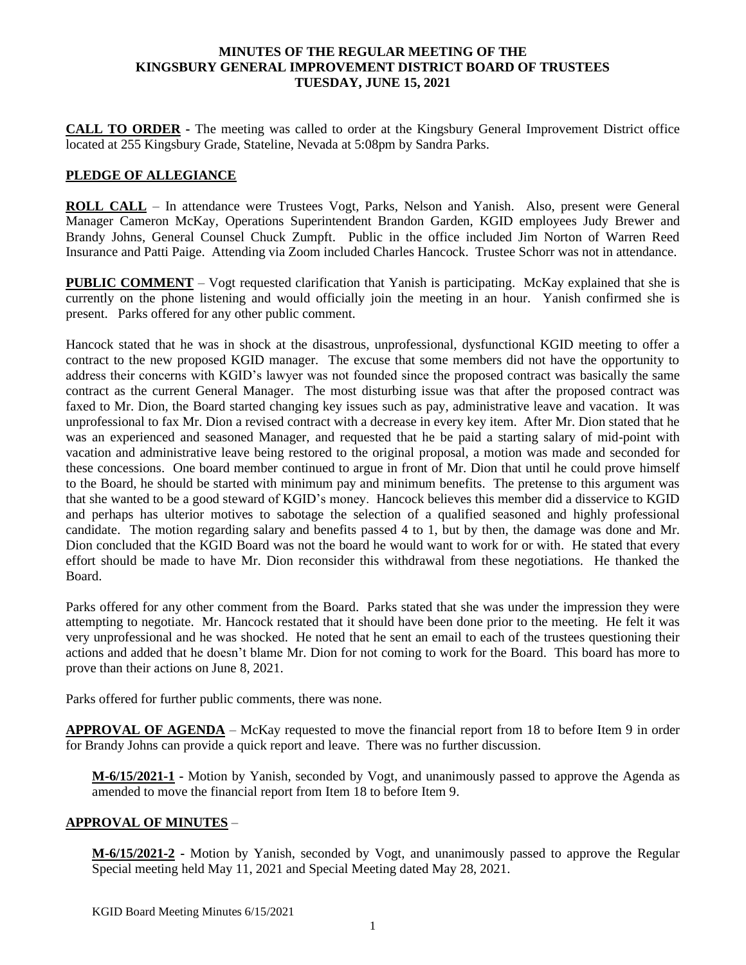#### **MINUTES OF THE REGULAR MEETING OF THE KINGSBURY GENERAL IMPROVEMENT DISTRICT BOARD OF TRUSTEES TUESDAY, JUNE 15, 2021**

**CALL TO ORDER -** The meeting was called to order at the Kingsbury General Improvement District office located at 255 Kingsbury Grade, Stateline, Nevada at 5:08pm by Sandra Parks.

### **PLEDGE OF ALLEGIANCE**

**ROLL CALL** – In attendance were Trustees Vogt, Parks, Nelson and Yanish. Also, present were General Manager Cameron McKay, Operations Superintendent Brandon Garden, KGID employees Judy Brewer and Brandy Johns, General Counsel Chuck Zumpft. Public in the office included Jim Norton of Warren Reed Insurance and Patti Paige. Attending via Zoom included Charles Hancock. Trustee Schorr was not in attendance.

**PUBLIC COMMENT** – Vogt requested clarification that Yanish is participating. McKay explained that she is currently on the phone listening and would officially join the meeting in an hour. Yanish confirmed she is present. Parks offered for any other public comment.

Hancock stated that he was in shock at the disastrous, unprofessional, dysfunctional KGID meeting to offer a contract to the new proposed KGID manager. The excuse that some members did not have the opportunity to address their concerns with KGID's lawyer was not founded since the proposed contract was basically the same contract as the current General Manager. The most disturbing issue was that after the proposed contract was faxed to Mr. Dion, the Board started changing key issues such as pay, administrative leave and vacation. It was unprofessional to fax Mr. Dion a revised contract with a decrease in every key item. After Mr. Dion stated that he was an experienced and seasoned Manager, and requested that he be paid a starting salary of mid-point with vacation and administrative leave being restored to the original proposal, a motion was made and seconded for these concessions. One board member continued to argue in front of Mr. Dion that until he could prove himself to the Board, he should be started with minimum pay and minimum benefits. The pretense to this argument was that she wanted to be a good steward of KGID's money. Hancock believes this member did a disservice to KGID and perhaps has ulterior motives to sabotage the selection of a qualified seasoned and highly professional candidate. The motion regarding salary and benefits passed 4 to 1, but by then, the damage was done and Mr. Dion concluded that the KGID Board was not the board he would want to work for or with. He stated that every effort should be made to have Mr. Dion reconsider this withdrawal from these negotiations. He thanked the Board.

Parks offered for any other comment from the Board. Parks stated that she was under the impression they were attempting to negotiate. Mr. Hancock restated that it should have been done prior to the meeting. He felt it was very unprofessional and he was shocked. He noted that he sent an email to each of the trustees questioning their actions and added that he doesn't blame Mr. Dion for not coming to work for the Board. This board has more to prove than their actions on June 8, 2021.

Parks offered for further public comments, there was none.

**APPROVAL OF AGENDA** – McKay requested to move the financial report from 18 to before Item 9 in order for Brandy Johns can provide a quick report and leave. There was no further discussion.

**M-6/15/2021-1 -** Motion by Yanish, seconded by Vogt, and unanimously passed to approve the Agenda as amended to move the financial report from Item 18 to before Item 9.

### **APPROVAL OF MINUTES** –

**M-6/15/2021-2 -** Motion by Yanish, seconded by Vogt, and unanimously passed to approve the Regular Special meeting held May 11, 2021 and Special Meeting dated May 28, 2021.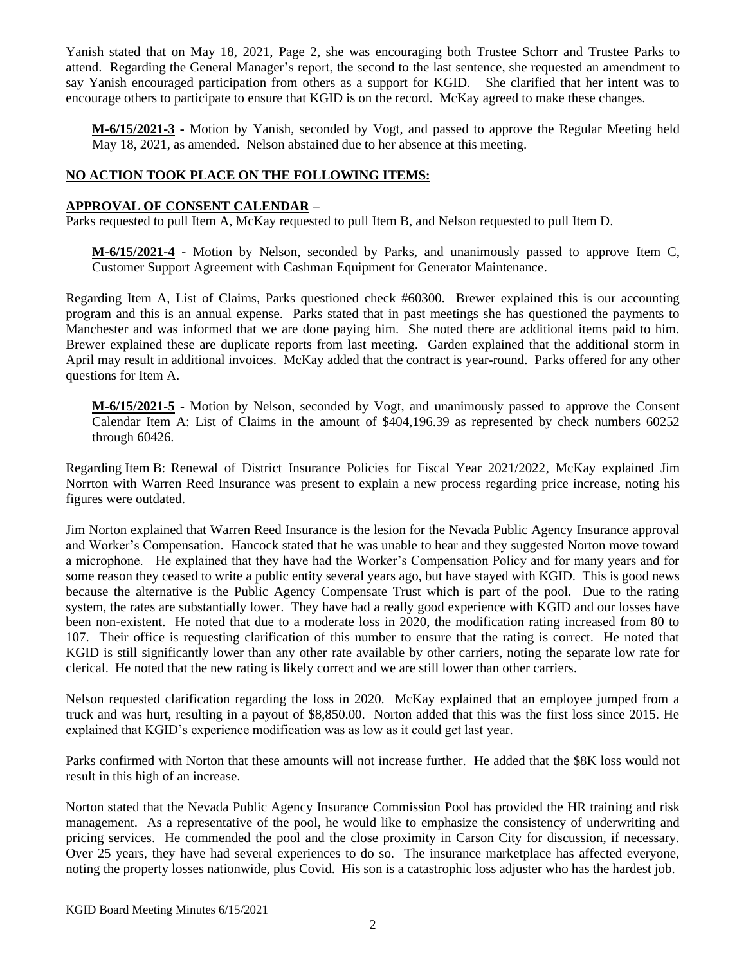Yanish stated that on May 18, 2021, Page 2, she was encouraging both Trustee Schorr and Trustee Parks to attend. Regarding the General Manager's report, the second to the last sentence, she requested an amendment to say Yanish encouraged participation from others as a support for KGID. She clarified that her intent was to encourage others to participate to ensure that KGID is on the record. McKay agreed to make these changes.

**M-6/15/2021-3 -** Motion by Yanish, seconded by Vogt, and passed to approve the Regular Meeting held May 18, 2021, as amended. Nelson abstained due to her absence at this meeting.

### **NO ACTION TOOK PLACE ON THE FOLLOWING ITEMS:**

### **APPROVAL OF CONSENT CALENDAR** –

Parks requested to pull Item A, McKay requested to pull Item B, and Nelson requested to pull Item D.

**M-6/15/2021-4 -** Motion by Nelson, seconded by Parks, and unanimously passed to approve Item C, Customer Support Agreement with Cashman Equipment for Generator Maintenance.

Regarding Item A, List of Claims, Parks questioned check #60300. Brewer explained this is our accounting program and this is an annual expense. Parks stated that in past meetings she has questioned the payments to Manchester and was informed that we are done paying him. She noted there are additional items paid to him. Brewer explained these are duplicate reports from last meeting. Garden explained that the additional storm in April may result in additional invoices. McKay added that the contract is year-round. Parks offered for any other questions for Item A.

**M-6/15/2021-5 -** Motion by Nelson, seconded by Vogt, and unanimously passed to approve the Consent Calendar Item A: List of Claims in the amount of \$404,196.39 as represented by check numbers 60252 through 60426.

Regarding Item B: Renewal of District Insurance Policies for Fiscal Year 2021/2022, McKay explained Jim Norrton with Warren Reed Insurance was present to explain a new process regarding price increase, noting his figures were outdated.

Jim Norton explained that Warren Reed Insurance is the lesion for the Nevada Public Agency Insurance approval and Worker's Compensation. Hancock stated that he was unable to hear and they suggested Norton move toward a microphone. He explained that they have had the Worker's Compensation Policy and for many years and for some reason they ceased to write a public entity several years ago, but have stayed with KGID. This is good news because the alternative is the Public Agency Compensate Trust which is part of the pool. Due to the rating system, the rates are substantially lower. They have had a really good experience with KGID and our losses have been non-existent. He noted that due to a moderate loss in 2020, the modification rating increased from 80 to 107. Their office is requesting clarification of this number to ensure that the rating is correct. He noted that KGID is still significantly lower than any other rate available by other carriers, noting the separate low rate for clerical. He noted that the new rating is likely correct and we are still lower than other carriers.

Nelson requested clarification regarding the loss in 2020. McKay explained that an employee jumped from a truck and was hurt, resulting in a payout of \$8,850.00. Norton added that this was the first loss since 2015. He explained that KGID's experience modification was as low as it could get last year.

Parks confirmed with Norton that these amounts will not increase further. He added that the \$8K loss would not result in this high of an increase.

Norton stated that the Nevada Public Agency Insurance Commission Pool has provided the HR training and risk management. As a representative of the pool, he would like to emphasize the consistency of underwriting and pricing services. He commended the pool and the close proximity in Carson City for discussion, if necessary. Over 25 years, they have had several experiences to do so. The insurance marketplace has affected everyone, noting the property losses nationwide, plus Covid. His son is a catastrophic loss adjuster who has the hardest job.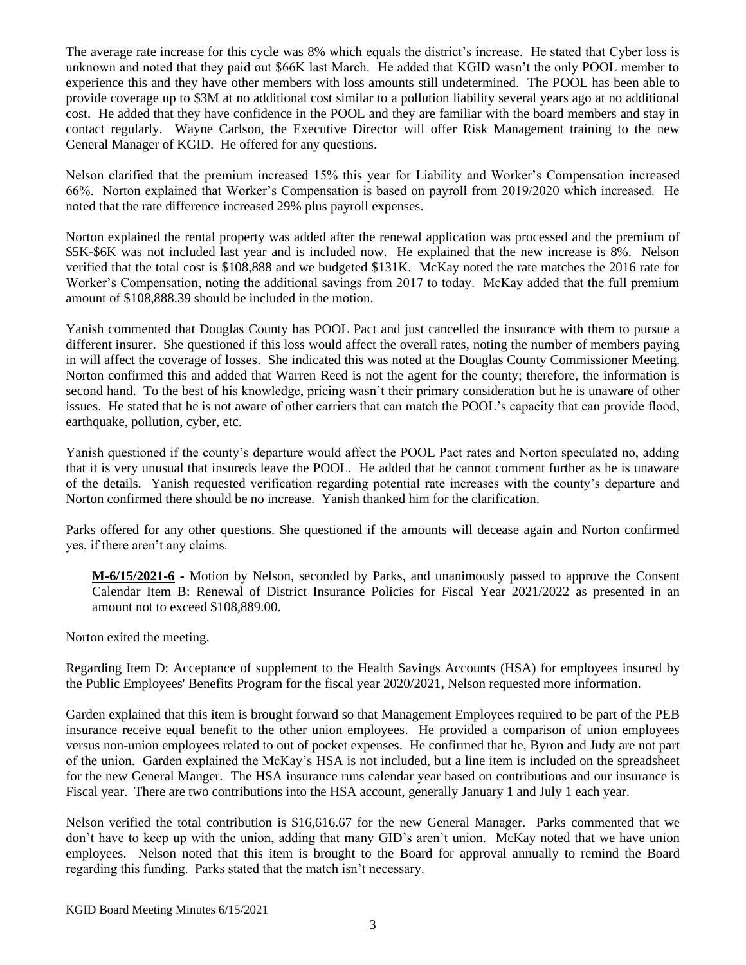The average rate increase for this cycle was 8% which equals the district's increase. He stated that Cyber loss is unknown and noted that they paid out \$66K last March. He added that KGID wasn't the only POOL member to experience this and they have other members with loss amounts still undetermined. The POOL has been able to provide coverage up to \$3M at no additional cost similar to a pollution liability several years ago at no additional cost. He added that they have confidence in the POOL and they are familiar with the board members and stay in contact regularly. Wayne Carlson, the Executive Director will offer Risk Management training to the new General Manager of KGID. He offered for any questions.

Nelson clarified that the premium increased 15% this year for Liability and Worker's Compensation increased 66%. Norton explained that Worker's Compensation is based on payroll from 2019/2020 which increased. He noted that the rate difference increased 29% plus payroll expenses.

Norton explained the rental property was added after the renewal application was processed and the premium of \$5K-\$6K was not included last year and is included now. He explained that the new increase is 8%. Nelson verified that the total cost is \$108,888 and we budgeted \$131K. McKay noted the rate matches the 2016 rate for Worker's Compensation, noting the additional savings from 2017 to today. McKay added that the full premium amount of \$108,888.39 should be included in the motion.

Yanish commented that Douglas County has POOL Pact and just cancelled the insurance with them to pursue a different insurer. She questioned if this loss would affect the overall rates, noting the number of members paying in will affect the coverage of losses. She indicated this was noted at the Douglas County Commissioner Meeting. Norton confirmed this and added that Warren Reed is not the agent for the county; therefore, the information is second hand. To the best of his knowledge, pricing wasn't their primary consideration but he is unaware of other issues. He stated that he is not aware of other carriers that can match the POOL's capacity that can provide flood, earthquake, pollution, cyber, etc.

Yanish questioned if the county's departure would affect the POOL Pact rates and Norton speculated no, adding that it is very unusual that insureds leave the POOL. He added that he cannot comment further as he is unaware of the details. Yanish requested verification regarding potential rate increases with the county's departure and Norton confirmed there should be no increase. Yanish thanked him for the clarification.

Parks offered for any other questions. She questioned if the amounts will decease again and Norton confirmed yes, if there aren't any claims.

**M-6/15/2021-6 -** Motion by Nelson, seconded by Parks, and unanimously passed to approve the Consent Calendar Item B: Renewal of District Insurance Policies for Fiscal Year 2021/2022 as presented in an amount not to exceed \$108,889.00.

Norton exited the meeting.

Regarding Item D: Acceptance of supplement to the Health Savings Accounts (HSA) for employees insured by the Public Employees' Benefits Program for the fiscal year 2020/2021, Nelson requested more information.

Garden explained that this item is brought forward so that Management Employees required to be part of the PEB insurance receive equal benefit to the other union employees. He provided a comparison of union employees versus non-union employees related to out of pocket expenses. He confirmed that he, Byron and Judy are not part of the union. Garden explained the McKay's HSA is not included, but a line item is included on the spreadsheet for the new General Manger. The HSA insurance runs calendar year based on contributions and our insurance is Fiscal year. There are two contributions into the HSA account, generally January 1 and July 1 each year.

Nelson verified the total contribution is \$16,616.67 for the new General Manager. Parks commented that we don't have to keep up with the union, adding that many GID's aren't union. McKay noted that we have union employees. Nelson noted that this item is brought to the Board for approval annually to remind the Board regarding this funding. Parks stated that the match isn't necessary.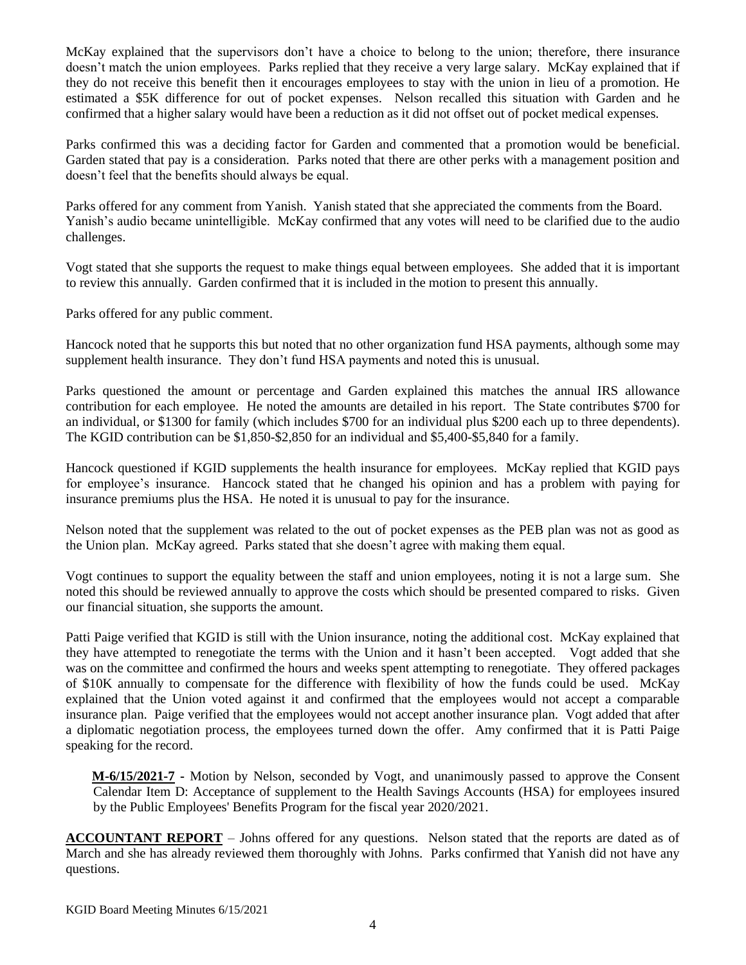McKay explained that the supervisors don't have a choice to belong to the union; therefore, there insurance doesn't match the union employees. Parks replied that they receive a very large salary. McKay explained that if they do not receive this benefit then it encourages employees to stay with the union in lieu of a promotion. He estimated a \$5K difference for out of pocket expenses. Nelson recalled this situation with Garden and he confirmed that a higher salary would have been a reduction as it did not offset out of pocket medical expenses.

Parks confirmed this was a deciding factor for Garden and commented that a promotion would be beneficial. Garden stated that pay is a consideration. Parks noted that there are other perks with a management position and doesn't feel that the benefits should always be equal.

Parks offered for any comment from Yanish. Yanish stated that she appreciated the comments from the Board. Yanish's audio became unintelligible. McKay confirmed that any votes will need to be clarified due to the audio challenges.

Vogt stated that she supports the request to make things equal between employees. She added that it is important to review this annually. Garden confirmed that it is included in the motion to present this annually.

Parks offered for any public comment.

Hancock noted that he supports this but noted that no other organization fund HSA payments, although some may supplement health insurance. They don't fund HSA payments and noted this is unusual.

Parks questioned the amount or percentage and Garden explained this matches the annual IRS allowance contribution for each employee. He noted the amounts are detailed in his report. The State contributes \$700 for an individual, or \$1300 for family (which includes \$700 for an individual plus \$200 each up to three dependents). The KGID contribution can be \$1,850-\$2,850 for an individual and \$5,400-\$5,840 for a family.

Hancock questioned if KGID supplements the health insurance for employees. McKay replied that KGID pays for employee's insurance. Hancock stated that he changed his opinion and has a problem with paying for insurance premiums plus the HSA. He noted it is unusual to pay for the insurance.

Nelson noted that the supplement was related to the out of pocket expenses as the PEB plan was not as good as the Union plan. McKay agreed. Parks stated that she doesn't agree with making them equal.

Vogt continues to support the equality between the staff and union employees, noting it is not a large sum. She noted this should be reviewed annually to approve the costs which should be presented compared to risks. Given our financial situation, she supports the amount.

Patti Paige verified that KGID is still with the Union insurance, noting the additional cost. McKay explained that they have attempted to renegotiate the terms with the Union and it hasn't been accepted. Vogt added that she was on the committee and confirmed the hours and weeks spent attempting to renegotiate. They offered packages of \$10K annually to compensate for the difference with flexibility of how the funds could be used. McKay explained that the Union voted against it and confirmed that the employees would not accept a comparable insurance plan. Paige verified that the employees would not accept another insurance plan. Vogt added that after a diplomatic negotiation process, the employees turned down the offer. Amy confirmed that it is Patti Paige speaking for the record.

**M-6/15/2021-7 -** Motion by Nelson, seconded by Vogt, and unanimously passed to approve the Consent Calendar Item D: Acceptance of supplement to the Health Savings Accounts (HSA) for employees insured by the Public Employees' Benefits Program for the fiscal year 2020/2021.

**ACCOUNTANT REPORT** – Johns offered for any questions. Nelson stated that the reports are dated as of March and she has already reviewed them thoroughly with Johns. Parks confirmed that Yanish did not have any questions.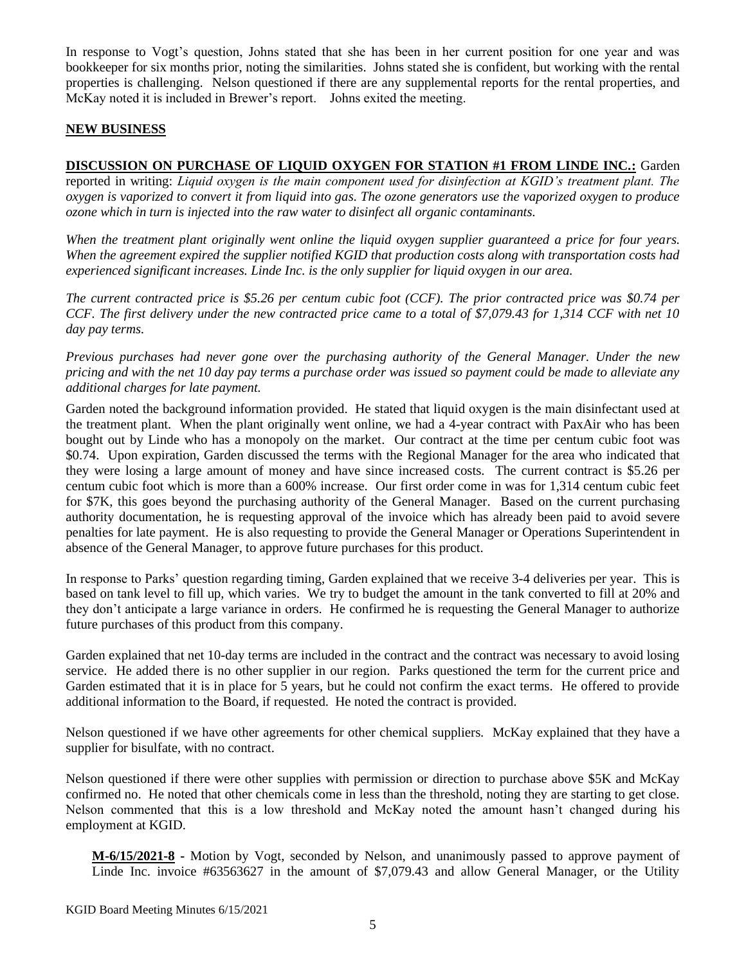In response to Vogt's question, Johns stated that she has been in her current position for one year and was bookkeeper for six months prior, noting the similarities. Johns stated she is confident, but working with the rental properties is challenging. Nelson questioned if there are any supplemental reports for the rental properties, and McKay noted it is included in Brewer's report. Johns exited the meeting.

#### **NEW BUSINESS**

# **DISCUSSION ON PURCHASE OF LIQUID OXYGEN FOR STATION #1 FROM LINDE INC.:** Garden

reported in writing: *Liquid oxygen is the main component used for disinfection at KGID's treatment plant. The oxygen is vaporized to convert it from liquid into gas. The ozone generators use the vaporized oxygen to produce ozone which in turn is injected into the raw water to disinfect all organic contaminants.*

*When the treatment plant originally went online the liquid oxygen supplier guaranteed a price for four years. When the agreement expired the supplier notified KGID that production costs along with transportation costs had experienced significant increases. Linde Inc. is the only supplier for liquid oxygen in our area.*

*The current contracted price is \$5.26 per centum cubic foot (CCF). The prior contracted price was \$0.74 per CCF. The first delivery under the new contracted price came to a total of \$7,079.43 for 1,314 CCF with net 10 day pay terms.*

*Previous purchases had never gone over the purchasing authority of the General Manager. Under the new pricing and with the net 10 day pay terms a purchase order was issued so payment could be made to alleviate any additional charges for late payment.*

Garden noted the background information provided. He stated that liquid oxygen is the main disinfectant used at the treatment plant. When the plant originally went online, we had a 4-year contract with PaxAir who has been bought out by Linde who has a monopoly on the market. Our contract at the time per centum cubic foot was \$0.74. Upon expiration, Garden discussed the terms with the Regional Manager for the area who indicated that they were losing a large amount of money and have since increased costs. The current contract is \$5.26 per centum cubic foot which is more than a 600% increase. Our first order come in was for 1,314 centum cubic feet for \$7K, this goes beyond the purchasing authority of the General Manager. Based on the current purchasing authority documentation, he is requesting approval of the invoice which has already been paid to avoid severe penalties for late payment. He is also requesting to provide the General Manager or Operations Superintendent in absence of the General Manager, to approve future purchases for this product.

In response to Parks' question regarding timing, Garden explained that we receive 3-4 deliveries per year. This is based on tank level to fill up, which varies. We try to budget the amount in the tank converted to fill at 20% and they don't anticipate a large variance in orders. He confirmed he is requesting the General Manager to authorize future purchases of this product from this company.

Garden explained that net 10-day terms are included in the contract and the contract was necessary to avoid losing service. He added there is no other supplier in our region. Parks questioned the term for the current price and Garden estimated that it is in place for 5 years, but he could not confirm the exact terms. He offered to provide additional information to the Board, if requested. He noted the contract is provided.

Nelson questioned if we have other agreements for other chemical suppliers. McKay explained that they have a supplier for bisulfate, with no contract.

Nelson questioned if there were other supplies with permission or direction to purchase above \$5K and McKay confirmed no. He noted that other chemicals come in less than the threshold, noting they are starting to get close. Nelson commented that this is a low threshold and McKay noted the amount hasn't changed during his employment at KGID.

**M-6/15/2021-8 -** Motion by Vogt, seconded by Nelson, and unanimously passed to approve payment of Linde Inc. invoice #63563627 in the amount of \$7,079.43 and allow General Manager, or the Utility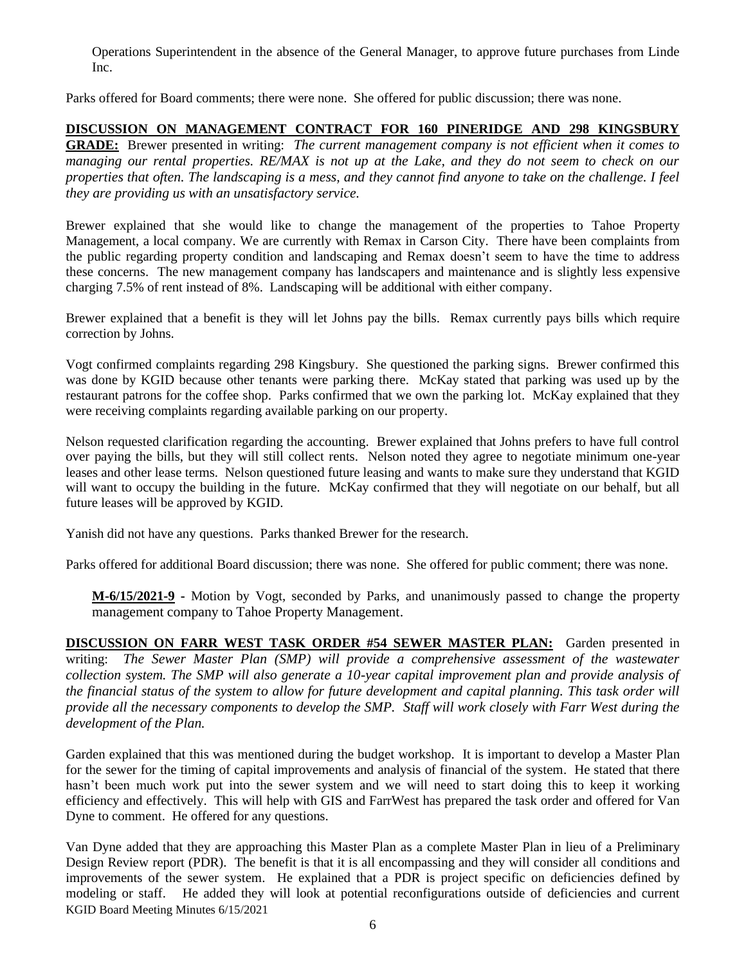Operations Superintendent in the absence of the General Manager, to approve future purchases from Linde Inc.

Parks offered for Board comments; there were none. She offered for public discussion; there was none.

# **DISCUSSION ON MANAGEMENT CONTRACT FOR 160 PINERIDGE AND 298 KINGSBURY**

**GRADE:** Brewer presented in writing: *The current management company is not efficient when it comes to managing our rental properties. RE/MAX is not up at the Lake, and they do not seem to check on our properties that often. The landscaping is a mess, and they cannot find anyone to take on the challenge. I feel they are providing us with an unsatisfactory service.*

Brewer explained that she would like to change the management of the properties to Tahoe Property Management, a local company. We are currently with Remax in Carson City. There have been complaints from the public regarding property condition and landscaping and Remax doesn't seem to have the time to address these concerns. The new management company has landscapers and maintenance and is slightly less expensive charging 7.5% of rent instead of 8%. Landscaping will be additional with either company.

Brewer explained that a benefit is they will let Johns pay the bills. Remax currently pays bills which require correction by Johns.

Vogt confirmed complaints regarding 298 Kingsbury. She questioned the parking signs. Brewer confirmed this was done by KGID because other tenants were parking there. McKay stated that parking was used up by the restaurant patrons for the coffee shop. Parks confirmed that we own the parking lot. McKay explained that they were receiving complaints regarding available parking on our property.

Nelson requested clarification regarding the accounting. Brewer explained that Johns prefers to have full control over paying the bills, but they will still collect rents. Nelson noted they agree to negotiate minimum one-year leases and other lease terms. Nelson questioned future leasing and wants to make sure they understand that KGID will want to occupy the building in the future. McKay confirmed that they will negotiate on our behalf, but all future leases will be approved by KGID.

Yanish did not have any questions. Parks thanked Brewer for the research.

Parks offered for additional Board discussion; there was none. She offered for public comment; there was none.

**M-6/15/2021-9 -** Motion by Vogt, seconded by Parks, and unanimously passed to change the property management company to Tahoe Property Management.

**DISCUSSION ON FARR WEST TASK ORDER #54 SEWER MASTER PLAN:** Garden presented in writing: *The Sewer Master Plan (SMP) will provide a comprehensive assessment of the wastewater collection system. The SMP will also generate a 10-year capital improvement plan and provide analysis of the financial status of the system to allow for future development and capital planning. This task order will provide all the necessary components to develop the SMP. Staff will work closely with Farr West during the development of the Plan.*

Garden explained that this was mentioned during the budget workshop. It is important to develop a Master Plan for the sewer for the timing of capital improvements and analysis of financial of the system. He stated that there hasn't been much work put into the sewer system and we will need to start doing this to keep it working efficiency and effectively. This will help with GIS and FarrWest has prepared the task order and offered for Van Dyne to comment. He offered for any questions.

KGID Board Meeting Minutes 6/15/2021 Van Dyne added that they are approaching this Master Plan as a complete Master Plan in lieu of a Preliminary Design Review report (PDR). The benefit is that it is all encompassing and they will consider all conditions and improvements of the sewer system. He explained that a PDR is project specific on deficiencies defined by modeling or staff. He added they will look at potential reconfigurations outside of deficiencies and current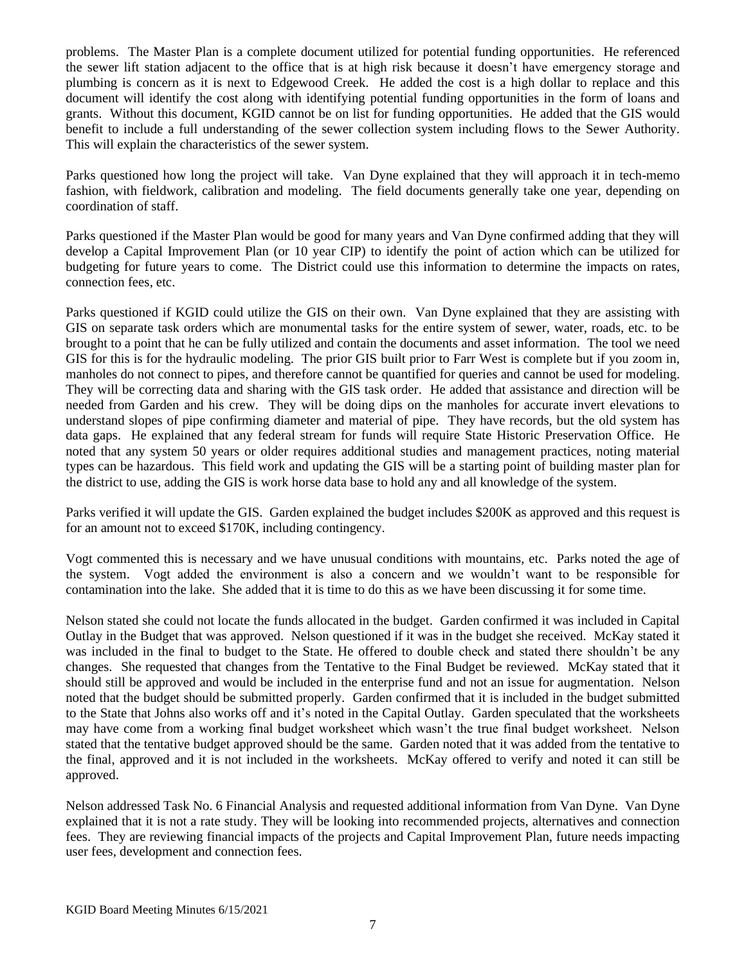problems. The Master Plan is a complete document utilized for potential funding opportunities. He referenced the sewer lift station adjacent to the office that is at high risk because it doesn't have emergency storage and plumbing is concern as it is next to Edgewood Creek. He added the cost is a high dollar to replace and this document will identify the cost along with identifying potential funding opportunities in the form of loans and grants. Without this document, KGID cannot be on list for funding opportunities. He added that the GIS would benefit to include a full understanding of the sewer collection system including flows to the Sewer Authority. This will explain the characteristics of the sewer system.

Parks questioned how long the project will take. Van Dyne explained that they will approach it in tech-memo fashion, with fieldwork, calibration and modeling. The field documents generally take one year, depending on coordination of staff.

Parks questioned if the Master Plan would be good for many years and Van Dyne confirmed adding that they will develop a Capital Improvement Plan (or 10 year CIP) to identify the point of action which can be utilized for budgeting for future years to come. The District could use this information to determine the impacts on rates, connection fees, etc.

Parks questioned if KGID could utilize the GIS on their own. Van Dyne explained that they are assisting with GIS on separate task orders which are monumental tasks for the entire system of sewer, water, roads, etc. to be brought to a point that he can be fully utilized and contain the documents and asset information. The tool we need GIS for this is for the hydraulic modeling. The prior GIS built prior to Farr West is complete but if you zoom in, manholes do not connect to pipes, and therefore cannot be quantified for queries and cannot be used for modeling. They will be correcting data and sharing with the GIS task order. He added that assistance and direction will be needed from Garden and his crew. They will be doing dips on the manholes for accurate invert elevations to understand slopes of pipe confirming diameter and material of pipe. They have records, but the old system has data gaps. He explained that any federal stream for funds will require State Historic Preservation Office. He noted that any system 50 years or older requires additional studies and management practices, noting material types can be hazardous. This field work and updating the GIS will be a starting point of building master plan for the district to use, adding the GIS is work horse data base to hold any and all knowledge of the system.

Parks verified it will update the GIS. Garden explained the budget includes \$200K as approved and this request is for an amount not to exceed \$170K, including contingency.

Vogt commented this is necessary and we have unusual conditions with mountains, etc. Parks noted the age of the system. Vogt added the environment is also a concern and we wouldn't want to be responsible for contamination into the lake. She added that it is time to do this as we have been discussing it for some time.

Nelson stated she could not locate the funds allocated in the budget. Garden confirmed it was included in Capital Outlay in the Budget that was approved. Nelson questioned if it was in the budget she received. McKay stated it was included in the final to budget to the State. He offered to double check and stated there shouldn't be any changes. She requested that changes from the Tentative to the Final Budget be reviewed. McKay stated that it should still be approved and would be included in the enterprise fund and not an issue for augmentation. Nelson noted that the budget should be submitted properly. Garden confirmed that it is included in the budget submitted to the State that Johns also works off and it's noted in the Capital Outlay. Garden speculated that the worksheets may have come from a working final budget worksheet which wasn't the true final budget worksheet. Nelson stated that the tentative budget approved should be the same. Garden noted that it was added from the tentative to the final, approved and it is not included in the worksheets. McKay offered to verify and noted it can still be approved.

Nelson addressed Task No. 6 Financial Analysis and requested additional information from Van Dyne. Van Dyne explained that it is not a rate study. They will be looking into recommended projects, alternatives and connection fees. They are reviewing financial impacts of the projects and Capital Improvement Plan, future needs impacting user fees, development and connection fees.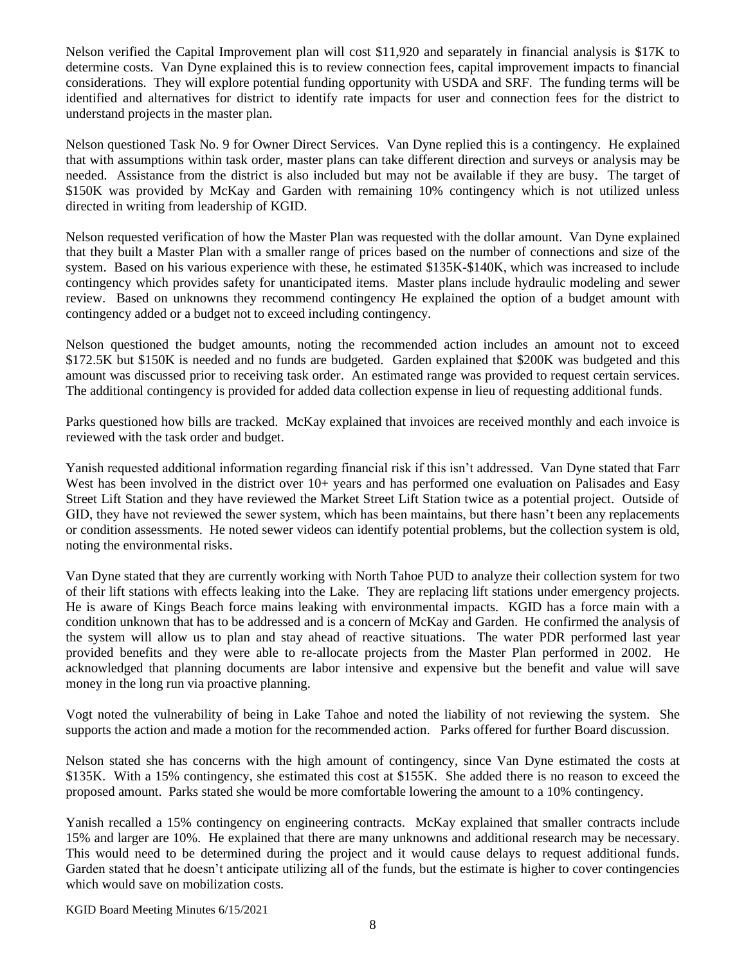Nelson verified the Capital Improvement plan will cost \$11,920 and separately in financial analysis is \$17K to determine costs. Van Dyne explained this is to review connection fees, capital improvement impacts to financial considerations. They will explore potential funding opportunity with USDA and SRF. The funding terms will be identified and alternatives for district to identify rate impacts for user and connection fees for the district to understand projects in the master plan.

Nelson questioned Task No. 9 for Owner Direct Services. Van Dyne replied this is a contingency. He explained that with assumptions within task order, master plans can take different direction and surveys or analysis may be needed. Assistance from the district is also included but may not be available if they are busy. The target of \$150K was provided by McKay and Garden with remaining 10% contingency which is not utilized unless directed in writing from leadership of KGID.

Nelson requested verification of how the Master Plan was requested with the dollar amount. Van Dyne explained that they built a Master Plan with a smaller range of prices based on the number of connections and size of the system. Based on his various experience with these, he estimated \$135K-\$140K, which was increased to include contingency which provides safety for unanticipated items. Master plans include hydraulic modeling and sewer review. Based on unknowns they recommend contingency He explained the option of a budget amount with contingency added or a budget not to exceed including contingency.

Nelson questioned the budget amounts, noting the recommended action includes an amount not to exceed \$172.5K but \$150K is needed and no funds are budgeted. Garden explained that \$200K was budgeted and this amount was discussed prior to receiving task order. An estimated range was provided to request certain services. The additional contingency is provided for added data collection expense in lieu of requesting additional funds.

Parks questioned how bills are tracked. McKay explained that invoices are received monthly and each invoice is reviewed with the task order and budget.

Yanish requested additional information regarding financial risk if this isn't addressed. Van Dyne stated that Farr West has been involved in the district over  $10+$  years and has performed one evaluation on Palisades and Easy Street Lift Station and they have reviewed the Market Street Lift Station twice as a potential project. Outside of GID, they have not reviewed the sewer system, which has been maintains, but there hasn't been any replacements or condition assessments. He noted sewer videos can identify potential problems, but the collection system is old, noting the environmental risks.

Van Dyne stated that they are currently working with North Tahoe PUD to analyze their collection system for two of their lift stations with effects leaking into the Lake. They are replacing lift stations under emergency projects. He is aware of Kings Beach force mains leaking with environmental impacts. KGID has a force main with a condition unknown that has to be addressed and is a concern of McKay and Garden. He confirmed the analysis of the system will allow us to plan and stay ahead of reactive situations. The water PDR performed last year provided benefits and they were able to re-allocate projects from the Master Plan performed in 2002. He acknowledged that planning documents are labor intensive and expensive but the benefit and value will save money in the long run via proactive planning.

Vogt noted the vulnerability of being in Lake Tahoe and noted the liability of not reviewing the system. She supports the action and made a motion for the recommended action. Parks offered for further Board discussion.

Nelson stated she has concerns with the high amount of contingency, since Van Dyne estimated the costs at \$135K. With a 15% contingency, she estimated this cost at \$155K. She added there is no reason to exceed the proposed amount. Parks stated she would be more comfortable lowering the amount to a 10% contingency.

Yanish recalled a 15% contingency on engineering contracts. McKay explained that smaller contracts include 15% and larger are 10%. He explained that there are many unknowns and additional research may be necessary. This would need to be determined during the project and it would cause delays to request additional funds. Garden stated that he doesn't anticipate utilizing all of the funds, but the estimate is higher to cover contingencies which would save on mobilization costs.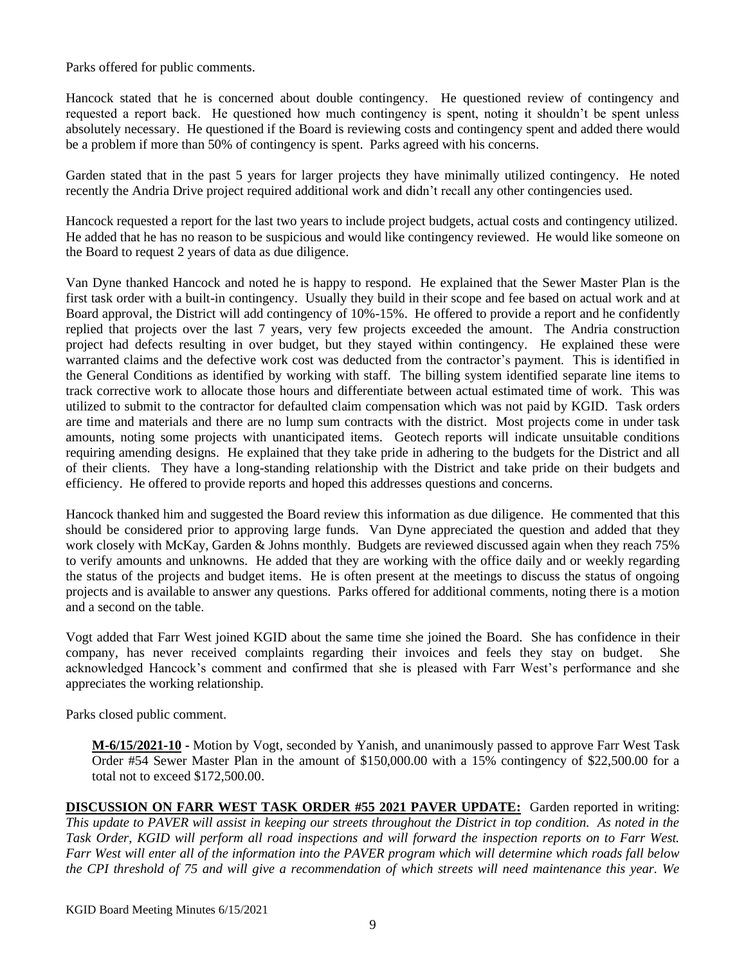Parks offered for public comments.

Hancock stated that he is concerned about double contingency. He questioned review of contingency and requested a report back. He questioned how much contingency is spent, noting it shouldn't be spent unless absolutely necessary. He questioned if the Board is reviewing costs and contingency spent and added there would be a problem if more than 50% of contingency is spent. Parks agreed with his concerns.

Garden stated that in the past 5 years for larger projects they have minimally utilized contingency. He noted recently the Andria Drive project required additional work and didn't recall any other contingencies used.

Hancock requested a report for the last two years to include project budgets, actual costs and contingency utilized. He added that he has no reason to be suspicious and would like contingency reviewed. He would like someone on the Board to request 2 years of data as due diligence.

Van Dyne thanked Hancock and noted he is happy to respond. He explained that the Sewer Master Plan is the first task order with a built-in contingency. Usually they build in their scope and fee based on actual work and at Board approval, the District will add contingency of 10%-15%. He offered to provide a report and he confidently replied that projects over the last 7 years, very few projects exceeded the amount. The Andria construction project had defects resulting in over budget, but they stayed within contingency. He explained these were warranted claims and the defective work cost was deducted from the contractor's payment. This is identified in the General Conditions as identified by working with staff. The billing system identified separate line items to track corrective work to allocate those hours and differentiate between actual estimated time of work. This was utilized to submit to the contractor for defaulted claim compensation which was not paid by KGID. Task orders are time and materials and there are no lump sum contracts with the district. Most projects come in under task amounts, noting some projects with unanticipated items. Geotech reports will indicate unsuitable conditions requiring amending designs. He explained that they take pride in adhering to the budgets for the District and all of their clients. They have a long-standing relationship with the District and take pride on their budgets and efficiency. He offered to provide reports and hoped this addresses questions and concerns.

Hancock thanked him and suggested the Board review this information as due diligence. He commented that this should be considered prior to approving large funds. Van Dyne appreciated the question and added that they work closely with McKay, Garden & Johns monthly. Budgets are reviewed discussed again when they reach 75% to verify amounts and unknowns. He added that they are working with the office daily and or weekly regarding the status of the projects and budget items. He is often present at the meetings to discuss the status of ongoing projects and is available to answer any questions. Parks offered for additional comments, noting there is a motion and a second on the table.

Vogt added that Farr West joined KGID about the same time she joined the Board. She has confidence in their company, has never received complaints regarding their invoices and feels they stay on budget. She acknowledged Hancock's comment and confirmed that she is pleased with Farr West's performance and she appreciates the working relationship.

Parks closed public comment.

**M-6/15/2021-10 -** Motion by Vogt, seconded by Yanish, and unanimously passed to approve Farr West Task Order #54 Sewer Master Plan in the amount of \$150,000.00 with a 15% contingency of \$22,500.00 for a total not to exceed \$172,500.00.

**DISCUSSION ON FARR WEST TASK ORDER #55 2021 PAVER UPDATE:** Garden reported in writing: *This update to PAVER will assist in keeping our streets throughout the District in top condition. As noted in the Task Order, KGID will perform all road inspections and will forward the inspection reports on to Farr West. Farr West will enter all of the information into the PAVER program which will determine which roads fall below the CPI threshold of 75 and will give a recommendation of which streets will need maintenance this year. We*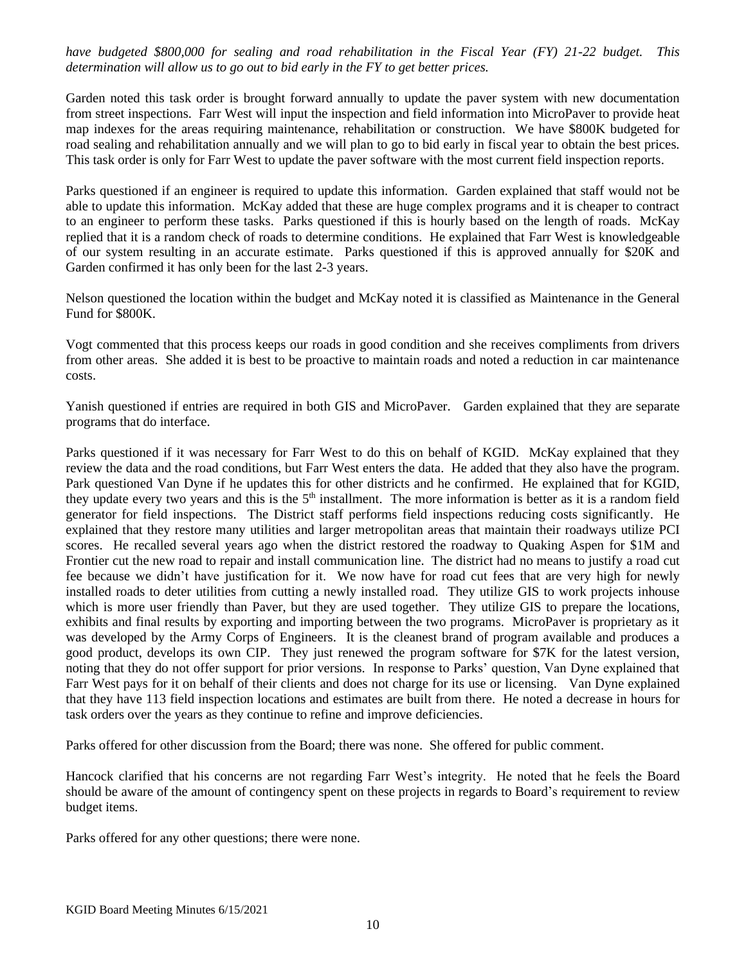*have budgeted \$800,000 for sealing and road rehabilitation in the Fiscal Year (FY) 21-22 budget. This determination will allow us to go out to bid early in the FY to get better prices.* 

Garden noted this task order is brought forward annually to update the paver system with new documentation from street inspections. Farr West will input the inspection and field information into MicroPaver to provide heat map indexes for the areas requiring maintenance, rehabilitation or construction. We have \$800K budgeted for road sealing and rehabilitation annually and we will plan to go to bid early in fiscal year to obtain the best prices. This task order is only for Farr West to update the paver software with the most current field inspection reports.

Parks questioned if an engineer is required to update this information. Garden explained that staff would not be able to update this information. McKay added that these are huge complex programs and it is cheaper to contract to an engineer to perform these tasks. Parks questioned if this is hourly based on the length of roads. McKay replied that it is a random check of roads to determine conditions. He explained that Farr West is knowledgeable of our system resulting in an accurate estimate. Parks questioned if this is approved annually for \$20K and Garden confirmed it has only been for the last 2-3 years.

Nelson questioned the location within the budget and McKay noted it is classified as Maintenance in the General Fund for \$800K.

Vogt commented that this process keeps our roads in good condition and she receives compliments from drivers from other areas. She added it is best to be proactive to maintain roads and noted a reduction in car maintenance costs.

Yanish questioned if entries are required in both GIS and MicroPaver. Garden explained that they are separate programs that do interface.

Parks questioned if it was necessary for Farr West to do this on behalf of KGID. McKay explained that they review the data and the road conditions, but Farr West enters the data. He added that they also have the program. Park questioned Van Dyne if he updates this for other districts and he confirmed. He explained that for KGID, they update every two years and this is the  $5<sup>th</sup>$  installment. The more information is better as it is a random field generator for field inspections. The District staff performs field inspections reducing costs significantly. He explained that they restore many utilities and larger metropolitan areas that maintain their roadways utilize PCI scores. He recalled several years ago when the district restored the roadway to Quaking Aspen for \$1M and Frontier cut the new road to repair and install communication line. The district had no means to justify a road cut fee because we didn't have justification for it. We now have for road cut fees that are very high for newly installed roads to deter utilities from cutting a newly installed road. They utilize GIS to work projects inhouse which is more user friendly than Paver, but they are used together. They utilize GIS to prepare the locations, exhibits and final results by exporting and importing between the two programs. MicroPaver is proprietary as it was developed by the Army Corps of Engineers. It is the cleanest brand of program available and produces a good product, develops its own CIP. They just renewed the program software for \$7K for the latest version, noting that they do not offer support for prior versions. In response to Parks' question, Van Dyne explained that Farr West pays for it on behalf of their clients and does not charge for its use or licensing. Van Dyne explained that they have 113 field inspection locations and estimates are built from there. He noted a decrease in hours for task orders over the years as they continue to refine and improve deficiencies.

Parks offered for other discussion from the Board; there was none. She offered for public comment.

Hancock clarified that his concerns are not regarding Farr West's integrity. He noted that he feels the Board should be aware of the amount of contingency spent on these projects in regards to Board's requirement to review budget items.

Parks offered for any other questions; there were none.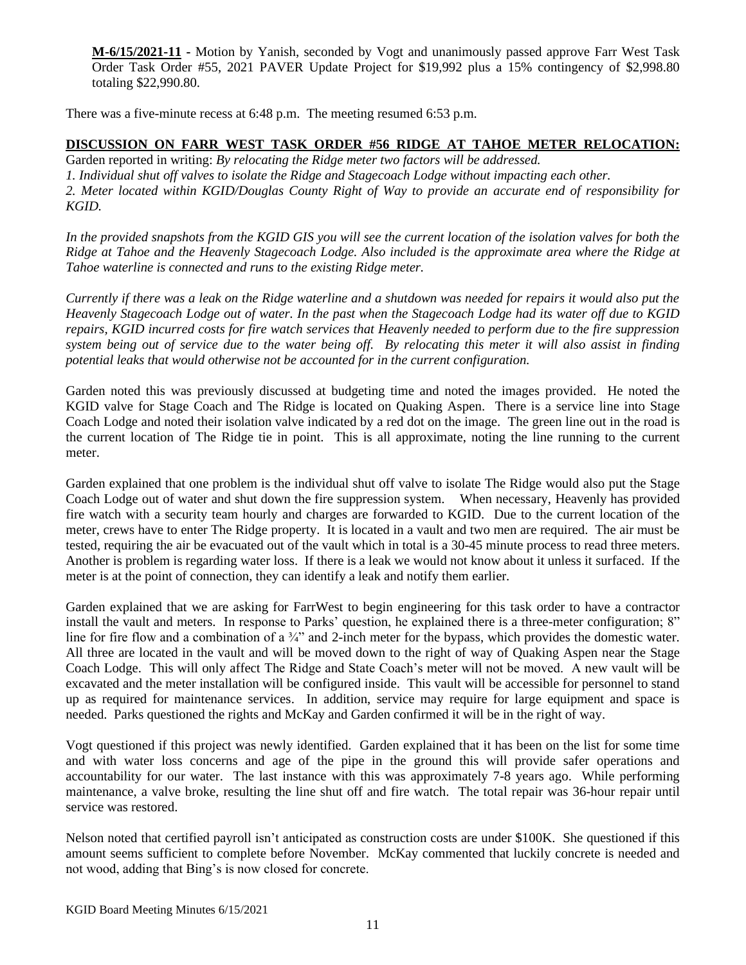**M-6/15/2021-11 -** Motion by Yanish, seconded by Vogt and unanimously passed approve Farr West Task Order Task Order #55, 2021 PAVER Update Project for \$19,992 plus a 15% contingency of \$2,998.80 totaling \$22,990.80.

There was a five-minute recess at 6:48 p.m. The meeting resumed 6:53 p.m.

### **DISCUSSION ON FARR WEST TASK ORDER #56 RIDGE AT TAHOE METER RELOCATION:**

Garden reported in writing: *By relocating the Ridge meter two factors will be addressed. 1. Individual shut off valves to isolate the Ridge and Stagecoach Lodge without impacting each other. 2. Meter located within KGID/Douglas County Right of Way to provide an accurate end of responsibility for KGID.*

*In the provided snapshots from the KGID GIS you will see the current location of the isolation valves for both the Ridge at Tahoe and the Heavenly Stagecoach Lodge. Also included is the approximate area where the Ridge at Tahoe waterline is connected and runs to the existing Ridge meter.*

*Currently if there was a leak on the Ridge waterline and a shutdown was needed for repairs it would also put the Heavenly Stagecoach Lodge out of water. In the past when the Stagecoach Lodge had its water off due to KGID repairs, KGID incurred costs for fire watch services that Heavenly needed to perform due to the fire suppression system being out of service due to the water being off. By relocating this meter it will also assist in finding potential leaks that would otherwise not be accounted for in the current configuration.*

Garden noted this was previously discussed at budgeting time and noted the images provided. He noted the KGID valve for Stage Coach and The Ridge is located on Quaking Aspen. There is a service line into Stage Coach Lodge and noted their isolation valve indicated by a red dot on the image. The green line out in the road is the current location of The Ridge tie in point. This is all approximate, noting the line running to the current meter.

Garden explained that one problem is the individual shut off valve to isolate The Ridge would also put the Stage Coach Lodge out of water and shut down the fire suppression system. When necessary, Heavenly has provided fire watch with a security team hourly and charges are forwarded to KGID. Due to the current location of the meter, crews have to enter The Ridge property. It is located in a vault and two men are required. The air must be tested, requiring the air be evacuated out of the vault which in total is a 30-45 minute process to read three meters. Another is problem is regarding water loss. If there is a leak we would not know about it unless it surfaced. If the meter is at the point of connection, they can identify a leak and notify them earlier.

Garden explained that we are asking for FarrWest to begin engineering for this task order to have a contractor install the vault and meters. In response to Parks' question, he explained there is a three-meter configuration; 8" line for fire flow and a combination of a <sup>3/4</sup> and 2-inch meter for the bypass, which provides the domestic water. All three are located in the vault and will be moved down to the right of way of Quaking Aspen near the Stage Coach Lodge. This will only affect The Ridge and State Coach's meter will not be moved. A new vault will be excavated and the meter installation will be configured inside. This vault will be accessible for personnel to stand up as required for maintenance services. In addition, service may require for large equipment and space is needed. Parks questioned the rights and McKay and Garden confirmed it will be in the right of way.

Vogt questioned if this project was newly identified. Garden explained that it has been on the list for some time and with water loss concerns and age of the pipe in the ground this will provide safer operations and accountability for our water. The last instance with this was approximately 7-8 years ago. While performing maintenance, a valve broke, resulting the line shut off and fire watch. The total repair was 36-hour repair until service was restored.

Nelson noted that certified payroll isn't anticipated as construction costs are under \$100K. She questioned if this amount seems sufficient to complete before November. McKay commented that luckily concrete is needed and not wood, adding that Bing's is now closed for concrete.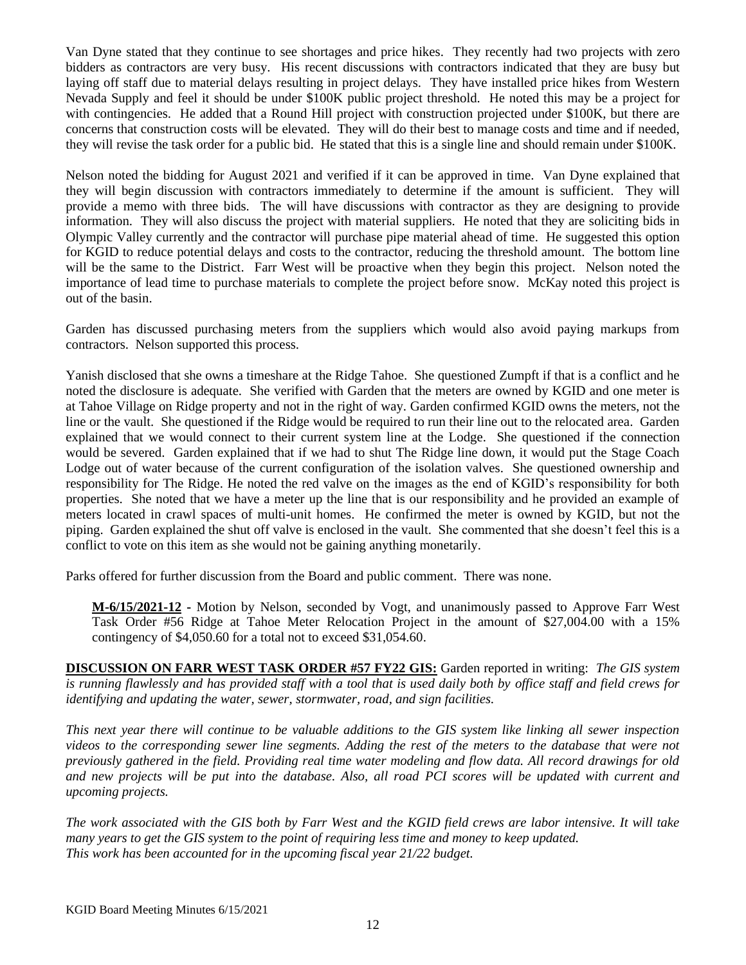Van Dyne stated that they continue to see shortages and price hikes. They recently had two projects with zero bidders as contractors are very busy. His recent discussions with contractors indicated that they are busy but laying off staff due to material delays resulting in project delays. They have installed price hikes from Western Nevada Supply and feel it should be under \$100K public project threshold. He noted this may be a project for with contingencies. He added that a Round Hill project with construction projected under \$100K, but there are concerns that construction costs will be elevated. They will do their best to manage costs and time and if needed, they will revise the task order for a public bid. He stated that this is a single line and should remain under \$100K.

Nelson noted the bidding for August 2021 and verified if it can be approved in time. Van Dyne explained that they will begin discussion with contractors immediately to determine if the amount is sufficient. They will provide a memo with three bids. The will have discussions with contractor as they are designing to provide information. They will also discuss the project with material suppliers. He noted that they are soliciting bids in Olympic Valley currently and the contractor will purchase pipe material ahead of time. He suggested this option for KGID to reduce potential delays and costs to the contractor, reducing the threshold amount. The bottom line will be the same to the District. Farr West will be proactive when they begin this project. Nelson noted the importance of lead time to purchase materials to complete the project before snow. McKay noted this project is out of the basin.

Garden has discussed purchasing meters from the suppliers which would also avoid paying markups from contractors. Nelson supported this process.

Yanish disclosed that she owns a timeshare at the Ridge Tahoe. She questioned Zumpft if that is a conflict and he noted the disclosure is adequate. She verified with Garden that the meters are owned by KGID and one meter is at Tahoe Village on Ridge property and not in the right of way. Garden confirmed KGID owns the meters, not the line or the vault. She questioned if the Ridge would be required to run their line out to the relocated area. Garden explained that we would connect to their current system line at the Lodge. She questioned if the connection would be severed. Garden explained that if we had to shut The Ridge line down, it would put the Stage Coach Lodge out of water because of the current configuration of the isolation valves. She questioned ownership and responsibility for The Ridge. He noted the red valve on the images as the end of KGID's responsibility for both properties. She noted that we have a meter up the line that is our responsibility and he provided an example of meters located in crawl spaces of multi-unit homes. He confirmed the meter is owned by KGID, but not the piping. Garden explained the shut off valve is enclosed in the vault. She commented that she doesn't feel this is a conflict to vote on this item as she would not be gaining anything monetarily.

Parks offered for further discussion from the Board and public comment. There was none.

**M-6/15/2021-12 -** Motion by Nelson, seconded by Vogt, and unanimously passed to Approve Farr West Task Order #56 Ridge at Tahoe Meter Relocation Project in the amount of \$27,004.00 with a 15% contingency of \$4,050.60 for a total not to exceed \$31,054.60.

**DISCUSSION ON FARR WEST TASK ORDER #57 FY22 GIS:** Garden reported in writing: *The GIS system is running flawlessly and has provided staff with a tool that is used daily both by office staff and field crews for identifying and updating the water, sewer, stormwater, road, and sign facilities.*

*This next year there will continue to be valuable additions to the GIS system like linking all sewer inspection videos to the corresponding sewer line segments. Adding the rest of the meters to the database that were not previously gathered in the field. Providing real time water modeling and flow data. All record drawings for old and new projects will be put into the database. Also, all road PCI scores will be updated with current and upcoming projects.*

*The work associated with the GIS both by Farr West and the KGID field crews are labor intensive. It will take many years to get the GIS system to the point of requiring less time and money to keep updated. This work has been accounted for in the upcoming fiscal year 21/22 budget.*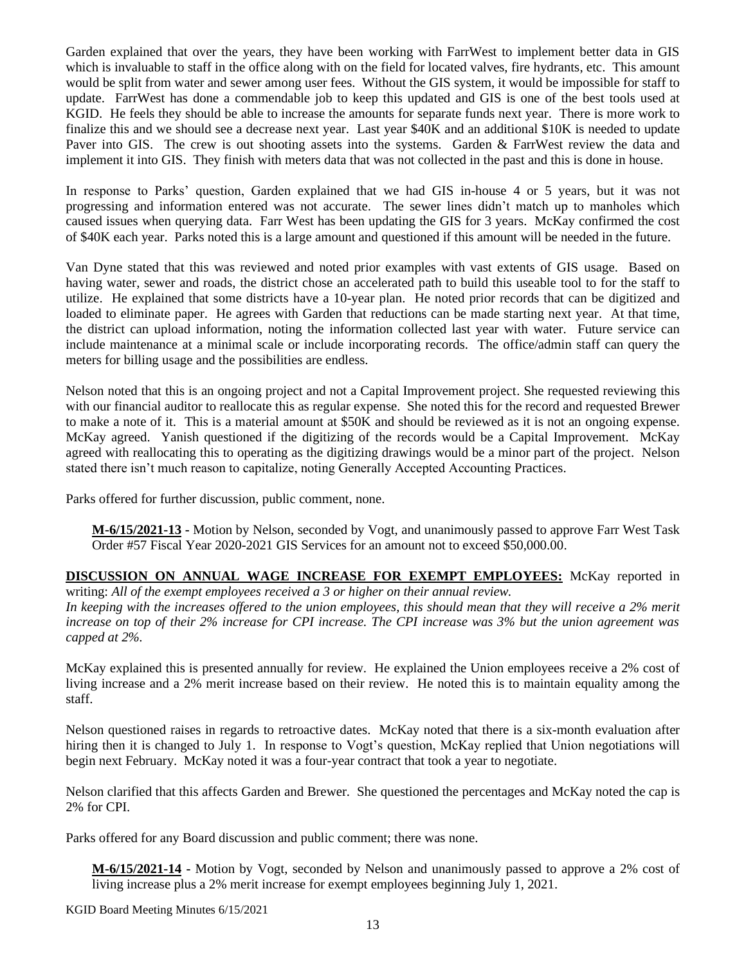Garden explained that over the years, they have been working with FarrWest to implement better data in GIS which is invaluable to staff in the office along with on the field for located valves, fire hydrants, etc. This amount would be split from water and sewer among user fees. Without the GIS system, it would be impossible for staff to update. FarrWest has done a commendable job to keep this updated and GIS is one of the best tools used at KGID. He feels they should be able to increase the amounts for separate funds next year. There is more work to finalize this and we should see a decrease next year. Last year \$40K and an additional \$10K is needed to update Paver into GIS. The crew is out shooting assets into the systems. Garden & FarrWest review the data and implement it into GIS. They finish with meters data that was not collected in the past and this is done in house.

In response to Parks' question, Garden explained that we had GIS in-house 4 or 5 years, but it was not progressing and information entered was not accurate. The sewer lines didn't match up to manholes which caused issues when querying data. Farr West has been updating the GIS for 3 years. McKay confirmed the cost of \$40K each year. Parks noted this is a large amount and questioned if this amount will be needed in the future.

Van Dyne stated that this was reviewed and noted prior examples with vast extents of GIS usage. Based on having water, sewer and roads, the district chose an accelerated path to build this useable tool to for the staff to utilize. He explained that some districts have a 10-year plan. He noted prior records that can be digitized and loaded to eliminate paper. He agrees with Garden that reductions can be made starting next year. At that time, the district can upload information, noting the information collected last year with water. Future service can include maintenance at a minimal scale or include incorporating records. The office/admin staff can query the meters for billing usage and the possibilities are endless.

Nelson noted that this is an ongoing project and not a Capital Improvement project. She requested reviewing this with our financial auditor to reallocate this as regular expense. She noted this for the record and requested Brewer to make a note of it. This is a material amount at \$50K and should be reviewed as it is not an ongoing expense. McKay agreed. Yanish questioned if the digitizing of the records would be a Capital Improvement. McKay agreed with reallocating this to operating as the digitizing drawings would be a minor part of the project. Nelson stated there isn't much reason to capitalize, noting Generally Accepted Accounting Practices.

Parks offered for further discussion, public comment, none.

**M-6/15/2021-13 -** Motion by Nelson, seconded by Vogt, and unanimously passed to approve Farr West Task Order #57 Fiscal Year 2020-2021 GIS Services for an amount not to exceed \$50,000.00.

**DISCUSSION ON ANNUAL WAGE INCREASE FOR EXEMPT EMPLOYEES:** McKay reported in writing: *All of the exempt employees received a 3 or higher on their annual review.*

In keeping with the increases offered to the union employees, this should mean that they will receive a 2% merit *increase on top of their 2% increase for CPI increase. The CPI increase was 3% but the union agreement was capped at 2%.*

McKay explained this is presented annually for review. He explained the Union employees receive a 2% cost of living increase and a 2% merit increase based on their review. He noted this is to maintain equality among the staff.

Nelson questioned raises in regards to retroactive dates. McKay noted that there is a six-month evaluation after hiring then it is changed to July 1. In response to Vogt's question, McKay replied that Union negotiations will begin next February. McKay noted it was a four-year contract that took a year to negotiate.

Nelson clarified that this affects Garden and Brewer. She questioned the percentages and McKay noted the cap is 2% for CPI.

Parks offered for any Board discussion and public comment; there was none.

**M-6/15/2021-14 -** Motion by Vogt, seconded by Nelson and unanimously passed to approve a 2% cost of living increase plus a 2% merit increase for exempt employees beginning July 1, 2021.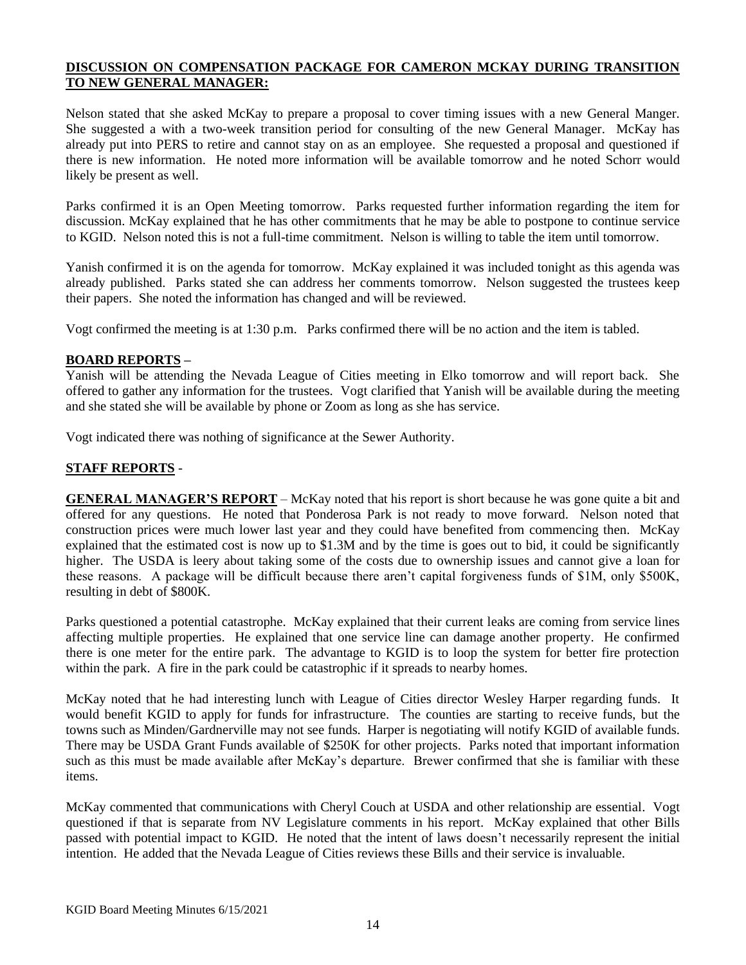# **DISCUSSION ON COMPENSATION PACKAGE FOR CAMERON MCKAY DURING TRANSITION TO NEW GENERAL MANAGER:**

Nelson stated that she asked McKay to prepare a proposal to cover timing issues with a new General Manger. She suggested a with a two-week transition period for consulting of the new General Manager. McKay has already put into PERS to retire and cannot stay on as an employee. She requested a proposal and questioned if there is new information. He noted more information will be available tomorrow and he noted Schorr would likely be present as well.

Parks confirmed it is an Open Meeting tomorrow. Parks requested further information regarding the item for discussion. McKay explained that he has other commitments that he may be able to postpone to continue service to KGID. Nelson noted this is not a full-time commitment. Nelson is willing to table the item until tomorrow.

Yanish confirmed it is on the agenda for tomorrow. McKay explained it was included tonight as this agenda was already published. Parks stated she can address her comments tomorrow. Nelson suggested the trustees keep their papers. She noted the information has changed and will be reviewed.

Vogt confirmed the meeting is at 1:30 p.m. Parks confirmed there will be no action and the item is tabled.

#### **BOARD REPORTS –**

Yanish will be attending the Nevada League of Cities meeting in Elko tomorrow and will report back. She offered to gather any information for the trustees. Vogt clarified that Yanish will be available during the meeting and she stated she will be available by phone or Zoom as long as she has service.

Vogt indicated there was nothing of significance at the Sewer Authority.

### **STAFF REPORTS** -

**GENERAL MANAGER'S REPORT** – McKay noted that his report is short because he was gone quite a bit and offered for any questions. He noted that Ponderosa Park is not ready to move forward. Nelson noted that construction prices were much lower last year and they could have benefited from commencing then. McKay explained that the estimated cost is now up to \$1.3M and by the time is goes out to bid, it could be significantly higher. The USDA is leery about taking some of the costs due to ownership issues and cannot give a loan for these reasons. A package will be difficult because there aren't capital forgiveness funds of \$1M, only \$500K, resulting in debt of \$800K.

Parks questioned a potential catastrophe. McKay explained that their current leaks are coming from service lines affecting multiple properties. He explained that one service line can damage another property. He confirmed there is one meter for the entire park. The advantage to KGID is to loop the system for better fire protection within the park. A fire in the park could be catastrophic if it spreads to nearby homes.

McKay noted that he had interesting lunch with League of Cities director Wesley Harper regarding funds. It would benefit KGID to apply for funds for infrastructure. The counties are starting to receive funds, but the towns such as Minden/Gardnerville may not see funds. Harper is negotiating will notify KGID of available funds. There may be USDA Grant Funds available of \$250K for other projects. Parks noted that important information such as this must be made available after McKay's departure. Brewer confirmed that she is familiar with these items.

McKay commented that communications with Cheryl Couch at USDA and other relationship are essential. Vogt questioned if that is separate from NV Legislature comments in his report. McKay explained that other Bills passed with potential impact to KGID. He noted that the intent of laws doesn't necessarily represent the initial intention. He added that the Nevada League of Cities reviews these Bills and their service is invaluable.